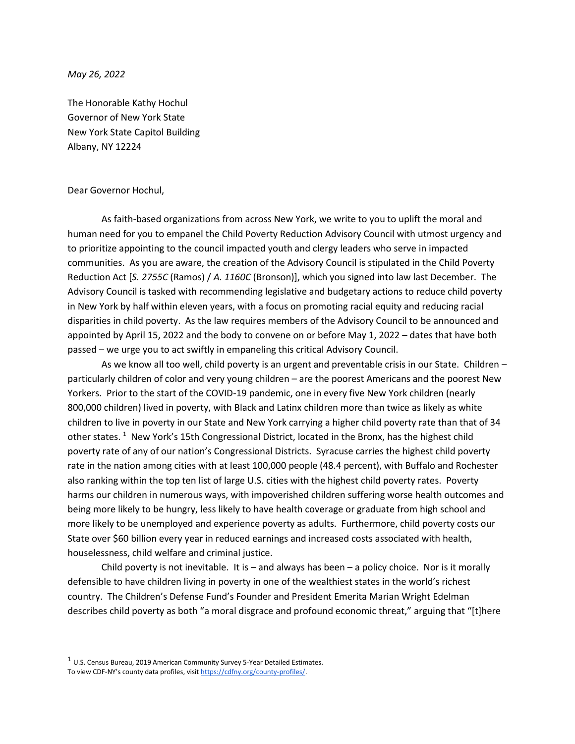*May 26, 2022*

The Honorable Kathy Hochul Governor of New York State New York State Capitol Building Albany, NY 12224

## Dear Governor Hochul,

As faith-based organizations from across New York, we write to you to uplift the moral and human need for you to empanel the Child Poverty Reduction Advisory Council with utmost urgency and to prioritize appointing to the council impacted youth and clergy leaders who serve in impacted communities. As you are aware, the creation of the Advisory Council is stipulated in the Child Poverty Reduction Act [*S. 2755C* (Ramos) / *A. 1160C* (Bronson)], which you signed into law last December. The Advisory Council is tasked with recommending legislative and budgetary actions to reduce child poverty in New York by half within eleven years, with a focus on promoting racial equity and reducing racial disparities in child poverty. As the law requires members of the Advisory Council to be announced and appointed by April 15, 2022 and the body to convene on or before May 1, 2022 – dates that have both passed – we urge you to act swiftly in empaneling this critical Advisory Council.

As we know all too well, child poverty is an urgent and preventable crisis in our State. Children – particularly children of color and very young children – are the poorest Americans and the poorest New Yorkers. Prior to the start of the COVID-19 pandemic, one in every five New York children (nearly 800,000 children) lived in poverty, with Black and Latinx children more than twice as likely as white children to live in poverty in our State and New York carrying a higher child poverty rate than that of 34 other states.<sup>1</sup> New York's 15th Congressional District, located in the Bronx, has the highest child poverty rate of any of our nation's Congressional Districts. Syracuse carries the highest child poverty rate in the nation among cities with at least 100,000 people (48.4 percent), with Buffalo and Rochester also ranking within the top ten list of large U.S. cities with the highest child poverty rates. Poverty harms our children in numerous ways, with impoverished children suffering worse health outcomes and being more likely to be hungry, less likely to have health coverage or graduate from high school and more likely to be unemployed and experience poverty as adults. Furthermore, child poverty costs our State over \$60 billion every year in reduced earnings and increased costs associated with health, houselessness, child welfare and criminal justice.

Child poverty is not inevitable. It is  $-$  and always has been  $-$  a policy choice. Nor is it morally defensible to have children living in poverty in one of the wealthiest states in the world's richest country. The Children's Defense Fund's Founder and President Emerita Marian Wright Edelman describes child poverty as both "a moral disgrace and profound economic threat," arguing that "[t]here

<sup>&</sup>lt;sup>1</sup> U.S. Census Bureau, 2019 American Community Survey 5-Year Detailed Estimates. To view CDF-NY's county data profiles, visit [https://cdfny.org/county-profiles/.](https://cdfny.org/county-profiles/)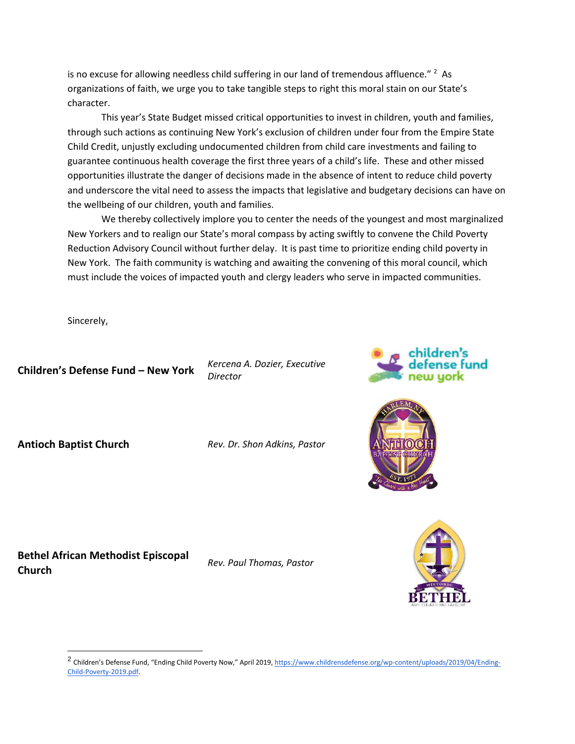is no excuse for allowing needless child suffering in our land of tremendous affluence."  $^2$  As organizations of faith, we urge you to take tangible steps to right this moral stain on our State's character.

This year's State Budget missed critical opportunities to invest in children, youth and families, through such actions as continuing New York's exclusion of children under four from the Empire State Child Credit, unjustly excluding undocumented children from child care investments and failing to guarantee continuous health coverage the first three years of a child's life. These and other missed opportunities illustrate the danger of decisions made in the absence of intent to reduce child poverty and underscore the vital need to assess the impacts that legislative and budgetary decisions can have on the wellbeing of our children, youth and families.

We thereby collectively implore you to center the needs of the youngest and most marginalized New Yorkers and to realign our State's moral compass by acting swiftly to convene the Child Poverty Reduction Advisory Council without further delay. It is past time to prioritize ending child poverty in New York. The faith community is watching and awaiting the convening of this moral council, which must include the voices of impacted youth and clergy leaders who serve in impacted communities.

Sincerely,

**Children's Defense Fund – New York** *Kercena A. Dozier, Executive* 

**Antioch Baptist Church** *Rev. Dr. Shon Adkins, Pastor*

*Director*







**Bethel African Methodist Episcopal Church** *Rev. Paul Thomas, Pastor*

<sup>2</sup> Children's Defense Fund, "Ending Child Poverty Now," April 2019, <u>https://www.childrensdefense.org/wp-content/uploads/2019/04/Ending-</u> [Child-Poverty-2019.pdf.](https://www.childrensdefense.org/wp-content/uploads/2019/04/Ending-Child-Poverty-2019.pdf)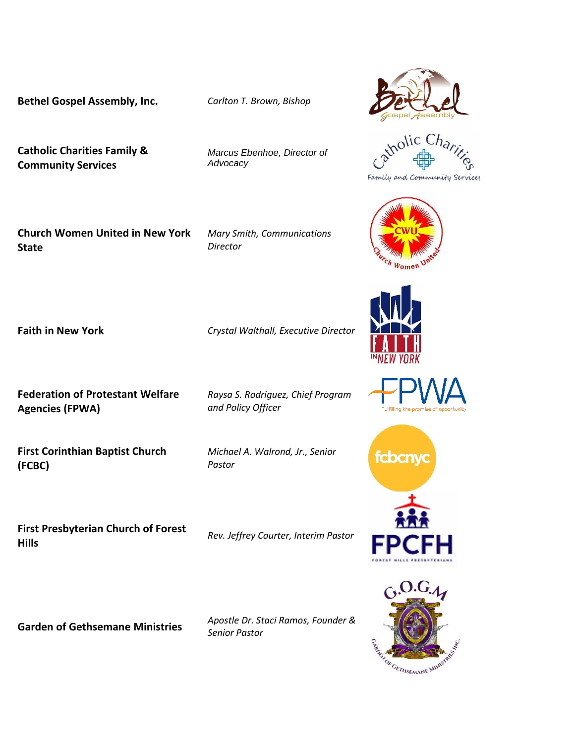**Bethel Gospel Assembly, Inc.** *Carlton T. Brown, Bishop*

**Catholic Charities Family & Community Services**

*Marcus Ebenhoe, Director of Advocacy*

**Church Women United in New York State**

*Mary Smith, Communications Director*

**Faith in New York** *Crystal Walthall, Executive Director*

**Federation of Protestant Welfare Agencies (FPWA)**

**First Corinthian Baptist Church (FCBC)**

**First Presbyterian Church of Forest Hills** *Rev. Jeffrey Courter, Interim Pastor*

*Raysa S. Rodriguez, Chief Program and Policy Officer*

*Michael A. Walrond, Jr., Senior Pastor*

**Garden of Gethsemane Ministries** *Apostle Dr. Staci Ramos, Founder & Senior Pastor*





Family and Community Services











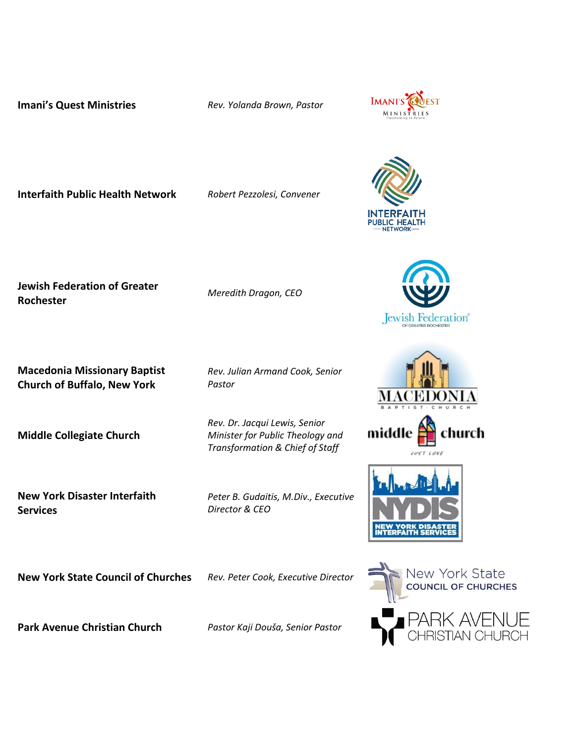**Imani's Quest Ministries** *Rev. Yolanda Brown, Pastor*



**Interfaith Public Health Network** *Robert Pezzolesi, Convener*



**Macedonia Missionary Baptist Church of Buffalo, New York**

**Middle Collegiate Church**

**New York Disaster Interfaith Services**

**New York State Council of Churches** *Rev. Peter Cook, Executive Director*

**Park Avenue Christian Church** *Pastor Kaji Douša, Senior Pastor*

*Rev. Julian Armand Cook, Senior Pastor*

*Rev. Dr. Jacqui Lewis, Senior Minister for Public Theology and Transformation & Chief of Staff*

*Peter B. Gudaitis, M.Div., Executive Director & CEO*







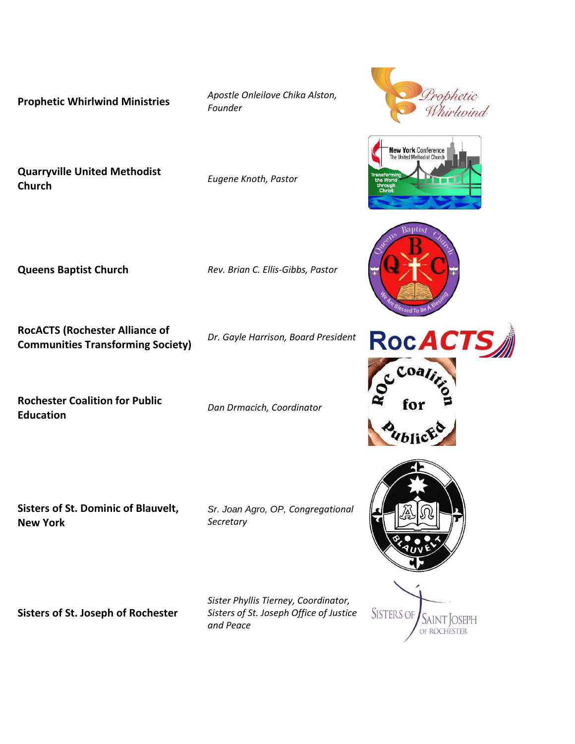**Prophetic Whirlwind Ministries** *Apostle Onleilove Chika Alston,* 

**Quarryville United Methodist Church** *Eugene Knoth, Pastor*

**RocACTS (Rochester Alliance of Communities Transforming Society)** *Dr. Gayle Harrison, Board President*

**Rochester Coalition for Public Education** *Dan Drmacich, Coordinator*

**Sisters of St. Dominic of Blauvelt, New York**

*Sr. Joan Agro, OP, Congregational Secretary*

**Sisters of St. Joseph of Rochester**

*Sister Phyllis Tierney, Coordinator, Sisters of St. Joseph Office of Justice and Peace*













**Queens Baptist Church** *Rev. Brian C. Ellis-Gibbs, Pastor*

*Founder*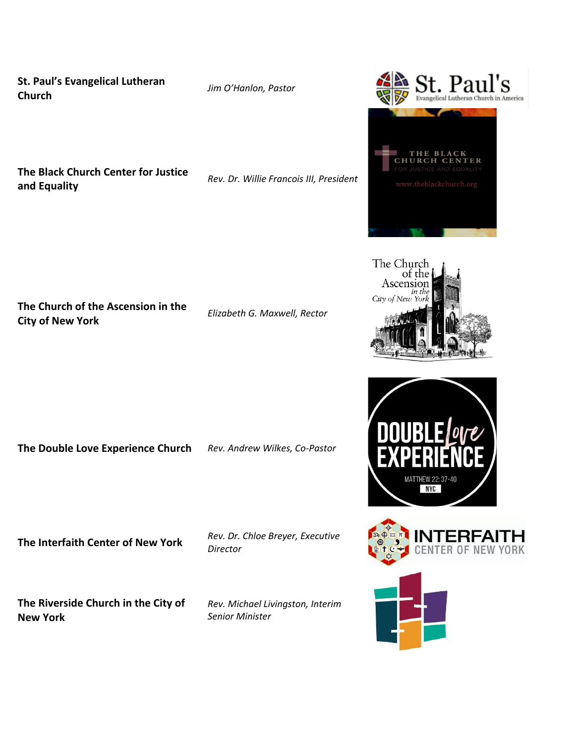**St. Paul's Evangelical Lutheran Church** *Jim O'Hanlon, Pastor*

**The Black Church Center for Justice and Equality** *Rev. Dr. Willie Francois III, President*

**The Church of the Ascension in the City of New York** *Elizabeth G. Maxwell, Rector*

**The Double Love Experience Church** *Rev. Andrew Wilkes, Co-Pastor*

**The Interfaith Center of New York** *Rev. Dr. Chloe Breyer, Executive* 

**The Riverside Church in the City of New York**

*Director*

*Rev. Michael Livingston, Interim Senior Minister*